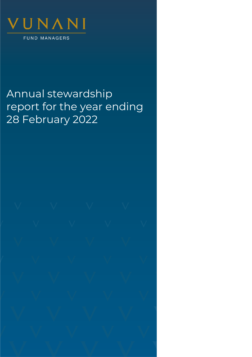

# Annual stewardship report for the year ending 28 February 2022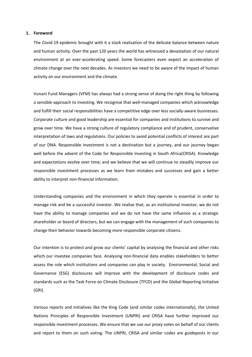#### **1. Foreword**

The Covid 19 epidemic brought with it a stark realisation of the delicate balance between nature and human activity. Over the past 120 years the world has witnessed a devastation of our natural environment at an ever-accelerating speed. Some forecasters even expect an acceleration of climate change over the next decades. As investors we need to be aware of the impact of human activity on our environment and the climate.

Vunani Fund Managers (VFM) has always had a strong sense of doing the right thing by following a sensible approach to investing. We recognise that well-managed companies which acknowledge and fulfill their social responsibilities have a competitive edge over less socially-aware businesses. Corporate culture and good leadership are essential for companies and institutions to survive and grow over time. We have a strong culture of regulatory compliance and of prudent, conservative interpretation of laws and regulations. Our policies to avoid potential conflicts of interest are part of our DNA. Responsible investment is not a destination but a journey, and our journey began well before the advent of the Code for Responsible Investing in South Africa(CRISA). Knowledge and expectations evolve over time; and we believe that we will continue to steadily improve our responsible investment processes as we learn from mistakes and successes and gain a better ability to interpret non-financial information.

Understanding companies and the environment in which they operate is essential in order to manage risk and be a successful investor. We realise that, as an institutional investor, we do not have the ability to manage companies and we do not have the same influence as a strategic shareholder or board of directors, but we can engage with the management of such companies to change their behavior towards becoming more responsible corporate citizens.

Our intention is to protect and grow our clients' capital by analysing the financial and other risks which our investee companies face. Analysing non-financial data enables stakeholders to better assess the role which institutions and companies can play in society. Environmental, Social and Governance (ESG) disclosures will improve with the development of disclosure codes and standards such as the Task Force on Climate Disclosure (TFCD) and the Global Reporting Initiative (GRI).

Various reports and initiatives like the King Code (and similar codes internationally), the United Nations Principles of Responsible Investment (UNPRI) and CRISA have further improved our responsible investment processes. We ensure that we use our proxy votes on behalf of our clients and report to them on such voting. The UNPRI, CRISA and similar codes are guideposts in our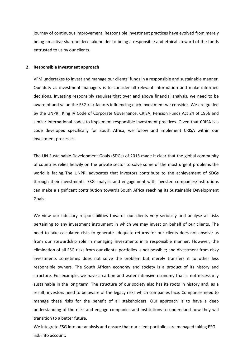journey of continuous improvement. Responsible investment practices have evolved from merely being an active shareholder/stakeholder to being a responsible and ethical steward of the funds entrusted to us by our clients.

#### **2. Responsible Investment approach**

VFM undertakes to invest and manage our clients' funds in a responsible and sustainable manner. Our duty as investment managers is to consider all relevant information and make informed decisions. Investing responsibly requires that over and above financial analysis, we need to be aware of and value the ESG risk factors influencing each investment we consider. We are guided by the UNPRI, King IV Code of Corporate Governance, CRISA, Pension Funds Act 24 of 1956 and similar international codes to implement responsible investment practices. Given that CRISA is a code developed specifically for South Africa, we follow and implement CRISA within our investment processes.

The UN Sustainable Development Goals [\(SDGs\)](https://www.unpri.org/sdgs) of 2015 made it clear that the global community of countries relies heavily on the private sector to solve some of the most urgent problems the world is facing. The UNPRI advocates that investors contribute to the achievement of SDGs through their investments. ESG analysis and engagement with investee companies/institutions can make a significant contribution towards South Africa reaching its Sustainable Development Goals.

We view our fiduciary responsibilities towards our clients very seriously and analyse all risks pertaining to any investment instrument in which we may invest on behalf of our clients. The need to take calculated risks to generate adequate returns for our clients does not absolve us from our stewardship role in managing investments in a responsible manner. However, the elimination of all ESG risks from our clients' portfolios is not possible; and divestment from risky investments sometimes does not solve the problem but merely transfers it to other less responsible owners. The South African economy and society is a product of its history and structure. For example, we have a carbon and water intensive economy that is not necessarily sustainable in the long term. The structure of our society also has its roots in history and, as a result, investors need to be aware of the legacy risks which companies face. Companies need to manage these risks for the benefit of all stakeholders. Our approach is to have a deep understanding of the risks and engage companies and institutions to understand how they will transition to a better future.

We integrate ESG into our analysis and ensure that our client portfolios are managed taking ESG risk into account.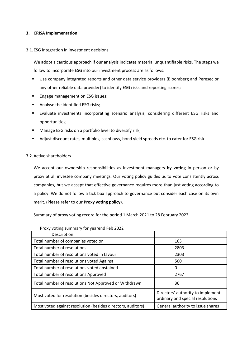# **3. CRISA Implementation**

# 3.1.ESG integration in investment decisions

We adopt a cautious approach if our analysis indicates material unquantifiable risks. The steps we follow to incorporate ESG into our investment process are as follows:

- Use company integrated reports and other data service providers (Bloomberg and Peresec or any other reliable data provider) to identify ESG risks and reporting scores;
- Engage management on ESG issues;
- Analyse the identified ESG risks;
- Evaluate investments incorporating scenario analysis, considering different ESG risks and opportunities;
- Manage ESG risks on a portfolio level to diversify risk;
- Adjust discount rates, multiples, cashflows, bond yield spreads etc. to cater for ESG risk.

# 3.2.Active shareholders

We accept our ownership responsibilities as investment managers **by voting** in person or by proxy at all investee company meetings. Our voting policy guides us to vote consistently across companies, but we accept that effective governance requires more than just voting according to a policy. We do not follow a tick box approach to governance but consider each case on its own merit. (Please refer to our **Proxy voting policy**).

Summary of proxy voting record for the period 1 March 2021 to 28 February 2022

| Description                                                 |                                                                       |
|-------------------------------------------------------------|-----------------------------------------------------------------------|
| Total number of companies voted on                          | 163                                                                   |
| Total number of resolutions                                 | 2803                                                                  |
| Total number of resolutions voted in favour                 | 2303                                                                  |
| Total number of resolutions voted Against                   | 500                                                                   |
| Total number of resolutions voted abstained                 | 0                                                                     |
| Total number of resolutions Approved                        | 2767                                                                  |
| Total number of resolutions Not Approved or Withdrawn       | 36                                                                    |
| Most voted for resolution (besides directors, auditors)     | Directors' authority to implement<br>ordinary and special resolutions |
| Most voted against resolution (besides directors, auditors) | General authority to issue shares                                     |

### Proxy voting summary for yearend Feb 2022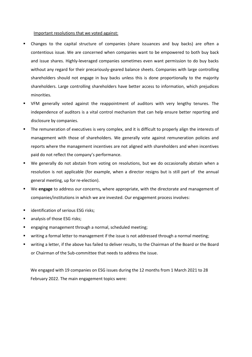Important resolutions that we voted against:

- Changes to the capital structure of companies (share issuances and buy backs) are often a contentious issue. We are concerned when companies want to be empowered to both buy back and issue shares. Highly-leveraged companies sometimes even want permission to do buy backs without any regard for their precariously-geared balance sheets. Companies with large controlling shareholders should not engage in buy backs unless this is done proportionally to the majority shareholders. Large controlling shareholders have better access to information, which prejudices minorities.
- VFM generally voted against the reappointment of auditors with very lengthy tenures. The independence of auditors is a vital control mechanism that can help ensure better reporting and disclosure by companies.
- The remuneration of executives is very complex, and it is difficult to properly align the interests of management with those of shareholders. We generally vote against remuneration policies and reports where the management incentives are not aligned with shareholders and when incentives paid do not reflect the company's performance.
- We generally do not abstain from voting on resolutions, but we do occasionally abstain when a resolution is not applicable (for example, when a director resigns but is still part of the annual general meeting, up for re-election).
- We **engage** to address our concerns, where appropriate, with the directorate and management of companies/institutions in which we are invested. Our engagement process involves:
- identification of serious ESG risks;
- analysis of those ESG risks;
- engaging management through a normal, scheduled meeting;
- writing a formal letter to management if the issue is not addressed through a normal meeting;
- writing a letter, if the above has failed to deliver results, to the Chairman of the Board or the Board or Chairman of the Sub-committee that needs to address the issue.

We engaged with 19 companies on ESG issues during the 12 months from 1 March 2021 to 28 February 2022. The main engagement topics were: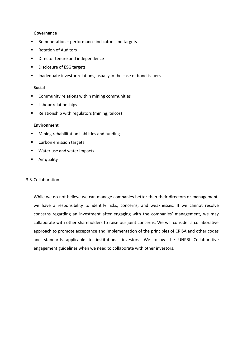## **Governance**

- Remuneration performance indicators and targets
- Rotation of Auditors
- Director tenure and independence
- Disclosure of ESG targets
- Inadequate investor relations, usually in the case of bond issuers

# **Social**

- Community relations within mining communities
- Labour relationships
- Relationship with regulators (mining, telcos)

## **Environment**

- Mining rehabilitation liabilities and funding
- Carbon emission targets
- Water use and water impacts
- Air quality

# 3.3.Collaboration

While we do not believe we can manage companies better than their directors or management, we have a responsibility to identify risks, concerns, and weaknesses. If we cannot resolve concerns regarding an investment after engaging with the companies' management, we may collaborate with other shareholders to raise our joint concerns. We will consider a collaborative approach to promote acceptance and implementation of the principles of CRISA and other codes and standards applicable to institutional investors. We follow the UNPRI Collaborative engagement guidelines when we need to collaborate with other investors.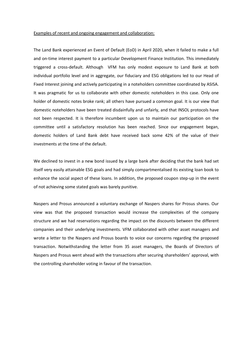#### Examples of recent and ongoing engagement and collaboration:

The Land Bank experienced an Event of Default (EoD) in April 2020, when it failed to make a full and on-time interest payment to a particular Development Finance Institution. This immediately triggered a cross-default. Although VFM has only modest exposure to Land Bank at both individual portfolio level and in aggregate, our fiduciary and ESG obligations led to our Head of Fixed Interest joining and actively participating in a noteholders committee coordinated by ASISA. It was pragmatic for us to collaborate with other domestic noteholders in this case. Only one holder of domestic notes broke rank; all others have pursued a common goal. It is our view that domestic noteholders have been treated disdainfully and unfairly, and that INSOL protocols have not been respected. It is therefore incumbent upon us to maintain our participation on the committee until a satisfactory resolution has been reached. Since our engagement began, domestic holders of Land Bank debt have received back some 42% of the value of their investments at the time of the default.

We declined to invest in a new bond issued by a large bank after deciding that the bank had set itself very easily attainable ESG goals and had simply compartmentalised its existing loan book to enhance the social aspect of these loans. In addition, the proposed coupon step-up in the event of not achieving some stated goals was barely punitive.

Naspers and Prosus announced a voluntary exchange of Naspers shares for Prosus shares. Our view was that the proposed transaction would increase the complexities of the company structure and we had reservations regarding the impact on the discounts between the different companies and their underlying investments. VFM collaborated with other asset managers and wrote a letter to the Naspers and Prosus boards to voice our concerns regarding the proposed transaction. Notwithstanding the letter from 35 asset managers, the Boards of Directors of Naspers and Prosus went ahead with the transactions after securing shareholders' approval, with the controlling shareholder voting in favour of the transaction.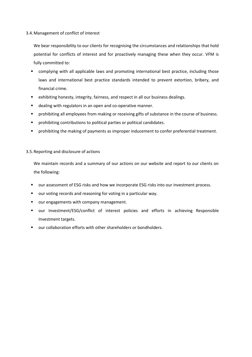# 3.4.Management of conflict of interest

We bear responsibility to our clients for recognising the circumstances and relationships that hold potential for conflicts of interest and for proactively managing these when they occur. VFM is fully committed to:

- complying with all applicable laws and promoting international best practice, including those laws and international best practice standards intended to prevent extortion, bribery, and financial crime.
- exhibiting honesty, integrity, fairness, and respect in all our business dealings.
- dealing with regulators in an open and co-operative manner.
- **•** prohibiting all employees from making or receiving gifts of substance in the course of business.
- prohibiting contributions to political parties or political candidates.
- **•** prohibiting the making of payments as improper inducement to confer preferential treatment.

# 3.5.Reporting and disclosure of actions

We maintain records and a summary of our actions on our website and report to our clients on the following:

- our assessment of ESG risks and how we incorporate ESG risks into our investment process.
- our voting records and reasoning for voting in a particular way.
- our engagements with company management.
- our Investment/ESG/conflict of interest policies and efforts in achieving Responsible Investment targets.
- our collaboration efforts with other shareholders or bondholders.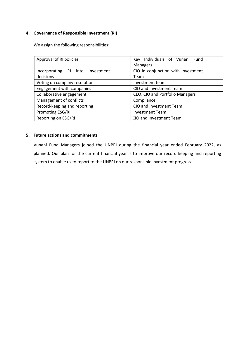# **4. Governance of Responsible Investment (RI)**

We assign the following responsibilities:

| Approval of RI policies          | Key Individuals of Vunani Fund     |
|----------------------------------|------------------------------------|
|                                  | <b>Managers</b>                    |
| Incorporating RI into investment | CIO in conjunction with Investment |
| decisions                        | Team                               |
| Voting on company resolutions    | Investment team                    |
| Engagement with companies        | CIO and Investment Team            |
| Collaborative engagement         | CEO, CIO and Portfolio Managers    |
| Management of conflicts          | Compliance                         |
| Record-keeping and reporting     | CIO and Investment Team            |
| Promoting ESG/RI                 | <b>Investment Team</b>             |
| Reporting on ESG/RI              | CIO and Investment Team            |

# **5. Future actions and commitments**

Vunani Fund Managers joined the UNPRI during the financial year ended February 2022, as planned. Our plan for the current financial year is to improve our record keeping and reporting system to enable us to report to the UNPRI on our responsible investment progress.